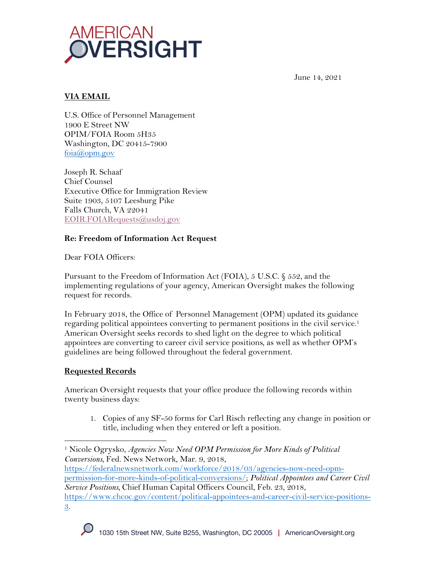

June 14, 2021

# **VIA EMAIL**

U.S. Office of Personnel Management 1900 E Street NW OPIM/FOIA Room 5H35 Washington, DC 20415-7900 foia@opm.gov

Joseph R. Schaaf Chief Counsel Executive Office for Immigration Review Suite 1903, 5107 Leesburg Pike Falls Church, VA 22041 EOIR.FOIARequests@usdoj.gov

## **Re: Freedom of Information Act Request**

Dear FOIA Officers<sup>.</sup>

Pursuant to the Freedom of Information Act (FOIA), 5 U.S.C. § 552, and the implementing regulations of your agency, American Oversight makes the following request for records.

In February 2018, the Office of Personnel Management (OPM) updated its guidance regarding political appointees converting to permanent positions in the civil service.<sup>1</sup> American Oversight seeks records to shed light on the degree to which political appointees are converting to career civil service positions, as well as whether OPM's guidelines are being followed throughout the federal government.

## **Requested Records**

American Oversight requests that your office produce the following records within twenty business days:

1. Copies of any SF-50 forms for Carl Risch reflecting any change in position or title, including when they entered or left a position.

https://federalnewsnetwork.com/workforce/2018/03/agencies-now-need-opmpermission-for-more-kinds-of-political-conversions/; *Political Appointees and Career Civil Service Positions,* Chief Human Capital Officers Council, Feb. 23, 2018, https://www.chcoc.gov/content/political-appointees-and-career-civil-service-positions-3.

<sup>1</sup> Nicole Ogrysko, *Agencies Now Need OPM Permission for More Kinds of Political Conversions,* Fed. News Network, Mar. 9, 2018,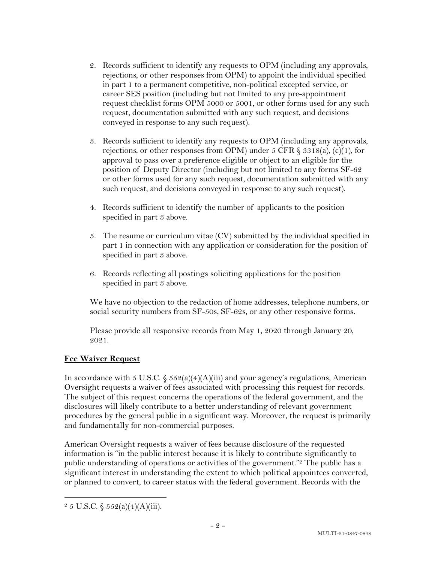- 2. Records sufficient to identify any requests to OPM (including any approvals, rejections, or other responses from OPM) to appoint the individual specified in part 1 to a permanent competitive, non-political excepted service, or career SES position (including but not limited to any pre-appointment request checklist forms OPM 5000 or 5001, or other forms used for any such request, documentation submitted with any such request, and decisions conveyed in response to any such request).
- 3. Records sufficient to identify any requests to OPM (including any approvals, rejections, or other responses from OPM) under 5 CFR  $\S 3318(a)$ , (c)(1), for approval to pass over a preference eligible or object to an eligible for the position of Deputy Director (including but not limited to any forms SF-62 or other forms used for any such request, documentation submitted with any such request, and decisions conveyed in response to any such request).
- 4. Records sufficient to identify the number of applicants to the position specified in part 3 above.
- 5. The resume or curriculum vitae (CV) submitted by the individual specified in part 1 in connection with any application or consideration for the position of specified in part 3 above.
- 6. Records reflecting all postings soliciting applications for the position specified in part 3 above.

We have no objection to the redaction of home addresses, telephone numbers, or social security numbers from SF-50s, SF-62s, or any other responsive forms.

Please provide all responsive records from May 1, 2020 through January 20, 2021.

## **Fee Waiver Request**

In accordance with 5 U.S.C.  $\frac{6}{5}$  552(a)(4)(A)(iii) and your agency's regulations, American Oversight requests a waiver of fees associated with processing this request for records. The subject of this request concerns the operations of the federal government, and the disclosures will likely contribute to a better understanding of relevant government procedures by the general public in a significant way. Moreover, the request is primarily and fundamentally for non-commercial purposes.

American Oversight requests a waiver of fees because disclosure of the requested information is "in the public interest because it is likely to contribute significantly to public understanding of operations or activities of the government."2 The public has a significant interest in understanding the extent to which political appointees converted, or planned to convert, to career status with the federal government. Records with the

 $2\,5$  U.S.C.  $\frac{2552(a)(4)(A)(iii)}{3}$ .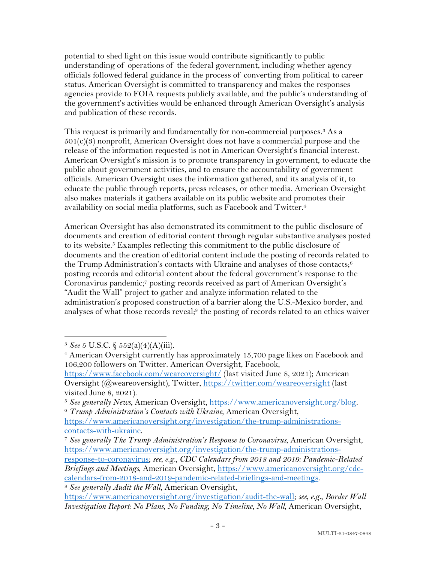potential to shed light on this issue would contribute significantly to public understanding of operations of the federal government, including whether agency officials followed federal guidance in the process of converting from political to career status. American Oversight is committed to transparency and makes the responses agencies provide to FOIA requests publicly available, and the public's understanding of the government's activities would be enhanced through American Oversight's analysis and publication of these records.

This request is primarily and fundamentally for non-commercial purposes.<sup>3</sup> As a  $501(c)(3)$  nonprofit, American Oversight does not have a commercial purpose and the release of the information requested is not in American Oversight's financial interest. American Oversight's mission is to promote transparency in government, to educate the public about government activities, and to ensure the accountability of government officials. American Oversight uses the information gathered, and its analysis of it, to educate the public through reports, press releases, or other media. American Oversight also makes materials it gathers available on its public website and promotes their availability on social media platforms, such as Facebook and Twitter.4

American Oversight has also demonstrated its commitment to the public disclosure of documents and creation of editorial content through regular substantive analyses posted to its website.<sup>5</sup> Examples reflecting this commitment to the public disclosure of documents and the creation of editorial content include the posting of records related to the Trump Administration's contacts with Ukraine and analyses of those contacts; $6$ posting records and editorial content about the federal government's response to the Coronavirus pandemic;7 posting records received as part of American Oversight's "Audit the Wall" project to gather and analyze information related to the administration's proposed construction of a barrier along the U.S.-Mexico border, and analyses of what those records reveal;<sup>8</sup> the posting of records related to an ethics waiver

<sup>3</sup> *See* 5 U.S.C. § 552(a)(4)(A)(iii).

<sup>&</sup>lt;sup>4</sup> American Oversight currently has approximately 15,700 page likes on Facebook and 106,200 followers on Twitter. American Oversight, Facebook,

https://www.facebook.com/weareoversight/ (last visited June 8, 2021); American Oversight (@weareoversight), Twitter, https://twitter.com/weareoversight (last visited June 8, 2021).

<sup>5</sup> *See generally News*, American Oversight, https://www.americanoversight.org/blog. 6 *Trump Administration's Contacts with Ukraine*, American Oversight,

https://www.americanoversight.org/investigation/the-trump-administrationscontacts-with-ukraine.

<sup>7</sup> *See generally The Trump Administration's Response to Coronavirus*, American Oversight, https://www.americanoversight.org/investigation/the-trump-administrations-

response-to-coronavirus; *see, e.g.*, *CDC Calendars from 2018 and 2019: Pandemic-Related Briefings and Meetings*, American Oversight, https://www.americanoversight.org/cdccalendars-from-2018-and-2019-pandemic-related-briefings-and-meetings. <sup>8</sup> *See generally Audit the Wall*, American Oversight,

https://www.americanoversight.org/investigation/audit-the-wall; *see, e.g.*, *Border Wall Investigation Report: No Plans, No Funding, No Timeline, No Wall*, American Oversight,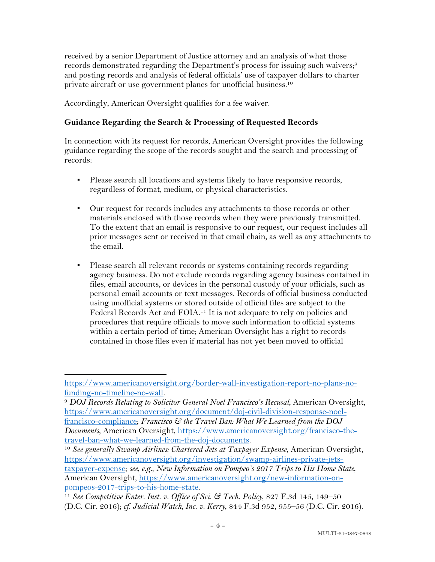received by a senior Department of Justice attorney and an analysis of what those records demonstrated regarding the Department's process for issuing such waivers;<sup>9</sup> and posting records and analysis of federal officials' use of taxpayer dollars to charter private aircraft or use government planes for unofficial business. 10

Accordingly, American Oversight qualifies for a fee waiver.

### **Guidance Regarding the Search & Processing of Requested Records**

In connection with its request for records, American Oversight provides the following guidance regarding the scope of the records sought and the search and processing of records:

- Please search all locations and systems likely to have responsive records, regardless of format, medium, or physical characteristics.
- Our request for records includes any attachments to those records or other materials enclosed with those records when they were previously transmitted. To the extent that an email is responsive to our request, our request includes all prior messages sent or received in that email chain, as well as any attachments to the email.
- Please search all relevant records or systems containing records regarding agency business. Do not exclude records regarding agency business contained in files, email accounts, or devices in the personal custody of your officials, such as personal email accounts or text messages. Records of official business conducted using unofficial systems or stored outside of official files are subject to the Federal Records Act and FOIA.11 It is not adequate to rely on policies and procedures that require officials to move such information to official systems within a certain period of time; American Oversight has a right to records contained in those files even if material has not yet been moved to official

<sup>10</sup> See generally Swamp Airlines: Chartered Jets at Taxpayer Expense, American Oversight, https://www.americanoversight.org/investigation/swamp-airlines-private-jetstaxpayer-expense; *see, e.g.*, *New Information on Pompeo's 2017 Trips to His Home State*, American Oversight, https://www.americanoversight.org/new-information-onpompeos-2017-trips-to-his-home-state.

https://www.americanoversight.org/border-wall-investigation-report-no-plans-nofunding-no-timeline-no-wall. 9 *DOJ Records Relating to Solicitor General Noel Francisco's Recusal*, American Oversight,

https://www.americanoversight.org/document/doj-civil-division-response-noelfrancisco-compliance; *Francisco & the Travel Ban: What We Learned from the DOJ Documents*, American Oversight, https://www.americanoversight.org/francisco-thetravel-ban-what-we-learned-from-the-doj-documents.

<sup>11</sup> *See Competitive Enter. Inst. v. Office of Sci. & Tech. Policy*, 827 F.3d 145, 149–50 (D.C. Cir. 2016); *cf. Judicial Watch, Inc. v. Kerry*, 844 F.3d 952, 955–56 (D.C. Cir. 2016).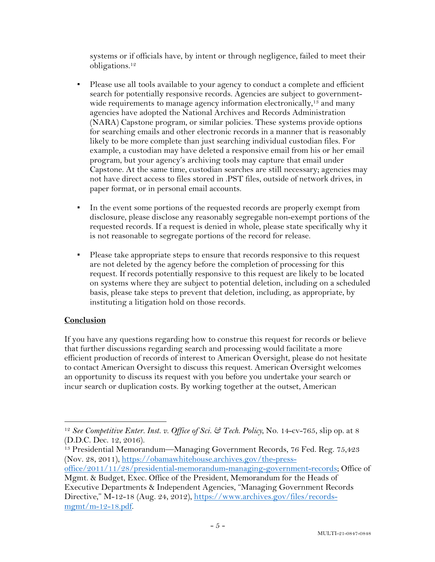systems or if officials have, by intent or through negligence, failed to meet their obligations.12

- Please use all tools available to your agency to conduct a complete and efficient search for potentially responsive records. Agencies are subject to governmentwide requirements to manage agency information electronically,<sup>13</sup> and many agencies have adopted the National Archives and Records Administration (NARA) Capstone program, or similar policies. These systems provide options for searching emails and other electronic records in a manner that is reasonably likely to be more complete than just searching individual custodian files. For example, a custodian may have deleted a responsive email from his or her email program, but your agency's archiving tools may capture that email under Capstone. At the same time, custodian searches are still necessary; agencies may not have direct access to files stored in .PST files, outside of network drives, in paper format, or in personal email accounts.
- In the event some portions of the requested records are properly exempt from disclosure, please disclose any reasonably segregable non-exempt portions of the requested records. If a request is denied in whole, please state specifically why it is not reasonable to segregate portions of the record for release.
- Please take appropriate steps to ensure that records responsive to this request are not deleted by the agency before the completion of processing for this request. If records potentially responsive to this request are likely to be located on systems where they are subject to potential deletion, including on a scheduled basis, please take steps to prevent that deletion, including, as appropriate, by instituting a litigation hold on those records.

## **Conclusion**

If you have any questions regarding how to construe this request for records or believe that further discussions regarding search and processing would facilitate a more efficient production of records of interest to American Oversight, please do not hesitate to contact American Oversight to discuss this request. American Oversight welcomes an opportunity to discuss its request with you before you undertake your search or incur search or duplication costs. By working together at the outset, American

<sup>12</sup> *See Competitive Enter. Inst. v. Office of Sci. & Tech. Policy*, No. 14-cv-765, slip op. at 8 (D.D.C. Dec. 12, 2016).

<sup>13</sup> Presidential Memorandum—Managing Government Records, 76 Fed. Reg. 75,423 (Nov. 28, 2011), https://obamawhitehouse.archives.gov/the-press-

office/2011/11/28/presidential-memorandum-managing-government-records; Office of Mgmt. & Budget, Exec. Office of the President, Memorandum for the Heads of

Executive Departments & Independent Agencies, "Managing Government Records Directive," M-12-18 (Aug. 24, 2012), https://www.archives.gov/files/recordsmgmt/m-12-18.pdf.